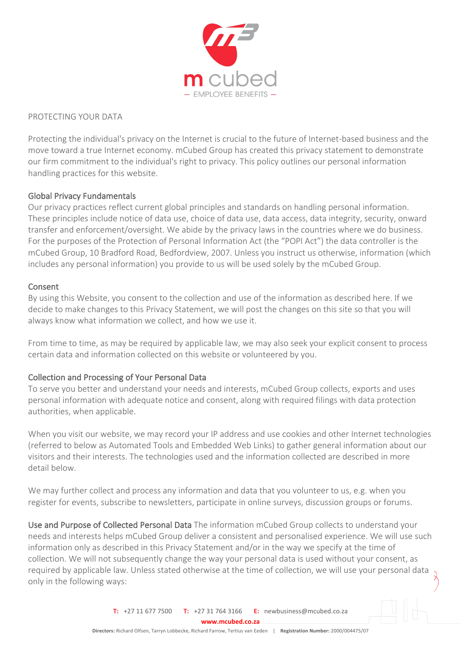

#### PROTECTING YOUR DATA

Protecting the individual's privacy on the Internet is crucial to the future of Internet-based business and the move toward a true Internet economy. mCubed Group has created this privacy statement to demonstrate our firm commitment to the individual's right to privacy. This policy outlines our personal information handling practices for this website.

## Global Privacy Fundamentals

Our privacy practices reflect current global principles and standards on handling personal information. These principles include notice of data use, choice of data use, data access, data integrity, security, onward transfer and enforcement/oversight. We abide by the privacy laws in the countries where we do business. For the purposes of the Protection of Personal Information Act (the "POPI Act") the data controller is the mCubed Group, 10 Bradford Road, Bedfordview, 2007. Unless you instruct us otherwise, information (which includes any personal information) you provide to us will be used solely by the mCubed Group.

#### Consent

By using this Website, you consent to the collection and use of the information as described here. If we decide to make changes to this Privacy Statement, we will post the changes on this site so that you will always know what information we collect, and how we use it.

From time to time, as may be required by applicable law, we may also seek your explicit consent to process certain data and information collected on this website or volunteered by you.

## Collection and Processing of Your Personal Data

To serve you better and understand your needs and interests, mCubed Group collects, exports and uses personal information with adequate notice and consent, along with required filings with data protection authorities, when applicable.

When you visit our website, we may record your IP address and use cookies and other Internet technologies (referred to below as Automated Tools and Embedded Web Links) to gather general information about our visitors and their interests. The technologies used and the information collected are described in more detail below.

We may further collect and process any information and data that you volunteer to us, e.g. when you register for events, subscribe to newsletters, participate in online surveys, discussion groups or forums.

Use and Purpose of Collected Personal Data The information mCubed Group collects to understand your needs and interests helps mCubed Group deliver a consistent and personalised experience. We will use such information only as described in this Privacy Statement and/or in the way we specify at the time of collection. We will not subsequently change the way your personal data is used without your consent, as required by applicable law. Unless stated otherwise at the time of collection, we will use your personal data only in the following ways: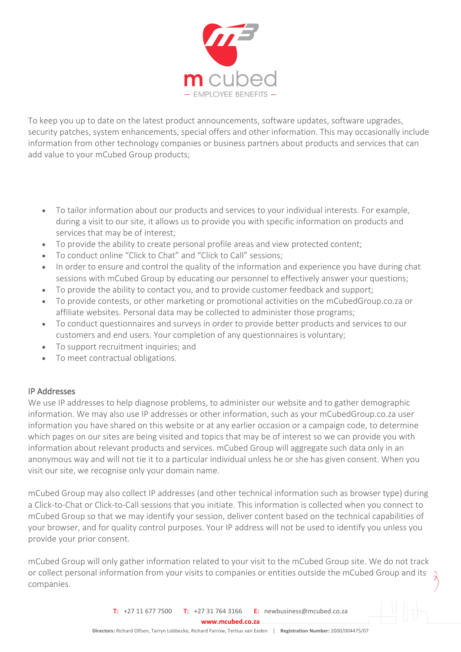

To keep you up to date on the latest product announcements, software updates, software upgrades, security patches, system enhancements, special offers and other information. This may occasionally include information from other technology companies or business partners about products and services that can add value to your mCubed Group products;

- To tailor information about our products and services to your individual interests. For example, during a visit to our site, it allows us to provide you with specific information on products and services that may be of interest;
- To provide the ability to create personal profile areas and view protected content;
- To conduct online "Click to Chat" and "Click to Call" sessions;
- In order to ensure and control the quality of the information and experience you have during chat sessions with mCubed Group by educating our personnel to effectively answer your questions;
- To provide the ability to contact you, and to provide customer feedback and support;
- To provide contests, or other marketing or promotional activities on the mCubedGroup.co.za or affiliate websites. Personal data may be collected to administer those programs;
- To conduct questionnaires and surveys in order to provide better products and services to our customers and end users. Your completion of any questionnaires is voluntary;
- To support recruitment inquiries; and
- To meet contractual obligations.

## IP Addresses

We use IP addresses to help diagnose problems, to administer our website and to gather demographic information. We may also use IP addresses or other information, such as your mCubedGroup.co.za user information you have shared on this website or at any earlier occasion or a campaign code, to determine which pages on our sites are being visited and topics that may be of interest so we can provide you with information about relevant products and services. mCubed Group will aggregate such data only in an anonymous way and will not tie it to a particular individual unless he or she has given consent. When you visit our site, we recognise only your domain name.

mCubed Group may also collect IP addresses (and other technical information such as browser type) during a Click-to-Chat or Click-to-Call sessions that you initiate. This information is collected when you connect to mCubed Group so that we may identify your session, deliver content based on the technical capabilities of your browser, and for quality control purposes. Your IP address will not be used to identify you unless you provide your prior consent.

mCubed Group will only gather information related to your visit to the mCubed Group site. We do not track or collect personal information from your visits to companies or entities outside the mCubed Group and its companies.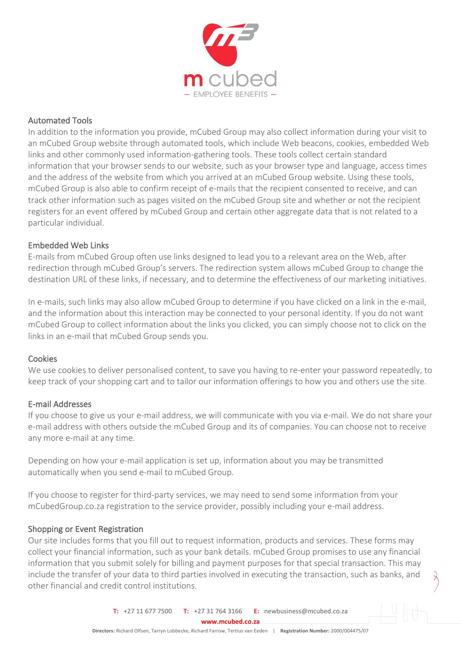

## Automated Tools

In addition to the information you provide, mCubed Group may also collect information during your visit to an mCubed Group website through automated tools, which include Web beacons, cookies, embedded Web links and other commonly used information-gathering tools. These tools collect certain standard information that your browser sends to our website, such as your browser type and language, access times and the address of the website from which you arrived at an mCubed Group website. Using these tools, mCubed Group is also able to confirm receipt of e-mails that the recipient consented to receive, and can track other information such as pages visited on the mCubed Group site and whether or not the recipient registers for an event offered by mCubed Group and certain other aggregate data that is not related to a particular individual.

## Embedded Web Links

E-mails from mCubed Group often use links designed to lead you to a relevant area on the Web, after redirection through mCubed Group's servers. The redirection system allows mCubed Group to change the destination URL of these links, if necessary, and to determine the effectiveness of our marketing initiatives.

In e-mails, such links may also allow mCubed Group to determine if you have clicked on a link in the e-mail, and the information about this interaction may be connected to your personal identity. If you do not want mCubed Group to collect information about the links you clicked, you can simply choose not to click on the links in an e-mail that mCubed Group sends you.

#### **Cookies**

We use cookies to deliver personalised content, to save you having to re-enter your password repeatedly, to keep track of your shopping cart and to tailor our information offerings to how you and others use the site.

#### E-mail Addresses

If you choose to give us your e-mail address, we will communicate with you via e-mail. We do not share your e-mail address with others outside the mCubed Group and its of companies. You can choose not to receive any more e-mail at any time.

Depending on how your e-mail application is set up, information about you may be transmitted automatically when you send e-mail to mCubed Group.

If you choose to register for third-party services, we may need to send some information from your mCubedGroup.co.za registration to the service provider, possibly including your e-mail address.

## Shopping or Event Registration

Our site includes forms that you fill out to request information, products and services. These forms may collect your financial information, such as your bank details. mCubed Group promises to use any financial information that you submit solely for billing and payment purposes for that special transaction. This may include the transfer of your data to third parties involved in executing the transaction, such as banks, and other financial and credit control institutions.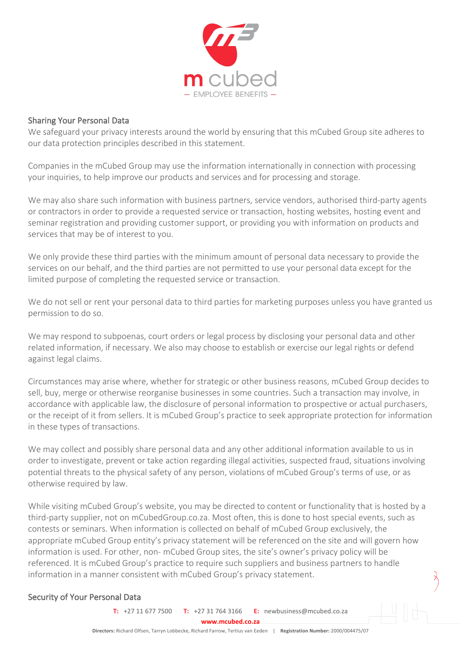

#### Sharing Your Personal Data

We safeguard your privacy interests around the world by ensuring that this mCubed Group site adheres to our data protection principles described in this statement.

Companies in the mCubed Group may use the information internationally in connection with processing your inquiries, to help improve our products and services and for processing and storage.

We may also share such information with business partners, service vendors, authorised third-party agents or contractors in order to provide a requested service or transaction, hosting websites, hosting event and seminar registration and providing customer support, or providing you with information on products and services that may be of interest to you.

We only provide these third parties with the minimum amount of personal data necessary to provide the services on our behalf, and the third parties are not permitted to use your personal data except for the limited purpose of completing the requested service or transaction.

We do not sell or rent your personal data to third parties for marketing purposes unless you have granted us permission to do so.

We may respond to subpoenas, court orders or legal process by disclosing your personal data and other related information, if necessary. We also may choose to establish or exercise our legal rights or defend against legal claims.

Circumstances may arise where, whether for strategic or other business reasons, mCubed Group decides to sell, buy, merge or otherwise reorganise businesses in some countries. Such a transaction may involve, in accordance with applicable law, the disclosure of personal information to prospective or actual purchasers, or the receipt of it from sellers. It is mCubed Group's practice to seek appropriate protection for information in these types of transactions.

We may collect and possibly share personal data and any other additional information available to us in order to investigate, prevent or take action regarding illegal activities, suspected fraud, situations involving potential threats to the physical safety of any person, violations of mCubed Group's terms of use, or as otherwise required by law.

While visiting mCubed Group's website, you may be directed to content or functionality that is hosted by a third-party supplier, not on mCubedGroup.co.za. Most often, this is done to host special events, such as contests or seminars. When information is collected on behalf of mCubed Group exclusively, the appropriate mCubed Group entity's privacy statement will be referenced on the site and will govern how information is used. For other, non- mCubed Group sites, the site's owner's privacy policy will be referenced. It is mCubed Group's practice to require such suppliers and business partners to handle information in a manner consistent with mCubed Group's privacy statement.

## Security of Your Personal Data

**T:** +27 11 677 7500 **T:** +27 31 764 3166 **E:** newbusiness@mcubed.co.za

**www.mcubed.co.za**